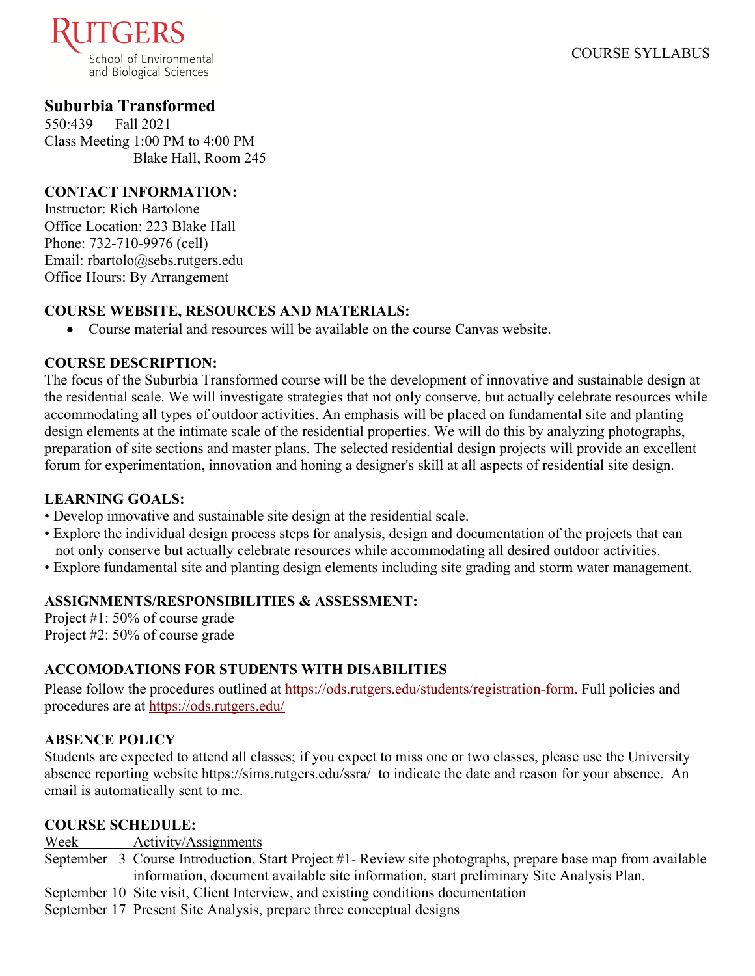

# **Suburbia Transformed**

550:439 Fall 2021 Class Meeting 1:00 PM to 4:00 PM Blake Hall, Room 245

### **CONTACT INFORMATION:**

Instructor: Rich Bartolone Office Location: 223 Blake Hall Phone: 732-710-9976 (cell) Email: rbartolo@sebs.rutgers.edu Office Hours: By Arrangement

### **COURSE WEBSITE, RESOURCES AND MATERIALS:**

• Course material and resources will be available on the course Canvas website.

### **COURSE DESCRIPTION:**

The focus of the Suburbia Transformed course will be the development of innovative and sustainable design at the residential scale. We will investigate strategies that not only conserve, but actually celebrate resources while accommodating all types of outdoor activities. An emphasis will be placed on fundamental site and planting design elements at the intimate scale of the residential properties. We will do this by analyzing photographs, preparation of site sections and master plans. The selected residential design projects will provide an excellent forum for experimentation, innovation and honing a designer's skill at all aspects of residential site design.

# **LEARNING GOALS:**

- Develop innovative and sustainable site design at the residential scale.
- Explore the individual design process steps for analysis, design and documentation of the projects that can not only conserve but actually celebrate resources while accommodating all desired outdoor activities.
- Explore fundamental site and planting design elements including site grading and storm water management.

### **ASSIGNMENTS/RESPONSIBILITIES & ASSESSMENT:**

Project #1: 50% of course grade Project #2: 50% of course grade

# **ACCOMODATIONS FOR STUDENTS WITH DISABILITIES**

Please follow the procedures outlined at [https://ods.rutgers.edu/students/registration-form.](https://ods.rutgers.edu/students/registration-form) Full policies and procedures are at<https://ods.rutgers.edu/>

# **ABSENCE POLICY**

Students are expected to attend all classes; if you expect to miss one or two classes, please use the University absence reporting website<https://sims.rutgers.edu/ssra/>to indicate the date and reason for your absence. An email is automatically sent to me.

### **COURSE SCHEDULE:**

Week Activity/Assignments

- September 3 Course Introduction, Start Project #1- Review site photographs, prepare base map from available information, document available site information, start preliminary Site Analysis Plan.
- September 10 Site visit, Client Interview, and existing conditions documentation
- September 17 Present Site Analysis, prepare three conceptual designs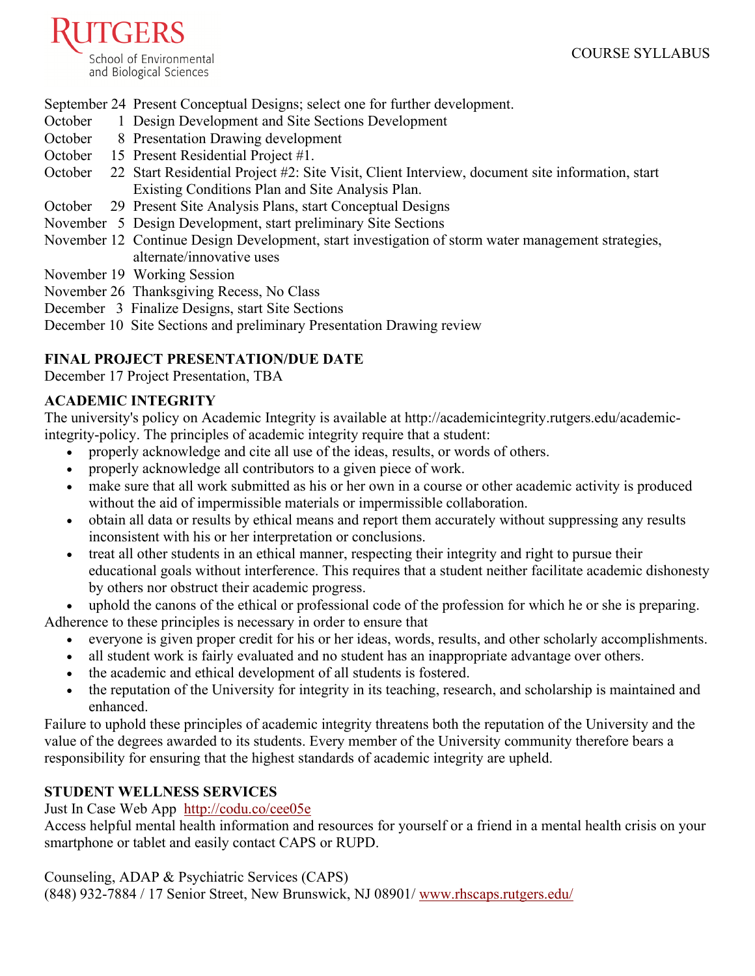

September 24 Present Conceptual Designs; select one for further development.

- October 1 Design Development and Site Sections Development
- October 8 Presentation Drawing development
- October 15 Present Residential Project #1.
- October 22 Start Residential Project #2: Site Visit, Client Interview, document site information, start Existing Conditions Plan and Site Analysis Plan.
- October 29 Present Site Analysis Plans, start Conceptual Designs
- November 5 Design Development, start preliminary Site Sections
- November 12 Continue Design Development, start investigation of storm water management strategies, alternate/innovative uses
- November 19 Working Session
- November 26 Thanksgiving Recess, No Class
- December 3 Finalize Designs, start Site Sections

December 10 Site Sections and preliminary Presentation Drawing review

### **FINAL PROJECT PRESENTATION/DUE DATE**

December 17 Project Presentation, TBA

### **ACADEMIC INTEGRITY**

The university's policy on Academic Integrity is available at [http://academicintegrity.rutgers.edu/academic](http://academicintegrity.rutgers.edu/academic-integrity-policy)[integrity-policy.](http://academicintegrity.rutgers.edu/academic-integrity-policy) The principles of academic integrity require that a student:

- properly acknowledge and cite all use of the ideas, results, or words of others.
- properly acknowledge all contributors to a given piece of work.
- make sure that all work submitted as his or her own in a course or other academic activity is produced without the aid of impermissible materials or impermissible collaboration.
- obtain all data or results by ethical means and report them accurately without suppressing any results inconsistent with his or her interpretation or conclusions.
- treat all other students in an ethical manner, respecting their integrity and right to pursue their educational goals without interference. This requires that a student neither facilitate academic dishonesty by others nor obstruct their academic progress.
- uphold the canons of the ethical or professional code of the profession for which he or she is preparing. Adherence to these principles is necessary in order to ensure that
	- everyone is given proper credit for his or her ideas, words, results, and other scholarly accomplishments.
		- all student work is fairly evaluated and no student has an inappropriate advantage over others.
		- the academic and ethical development of all students is fostered.
	- the reputation of the University for integrity in its teaching, research, and scholarship is maintained and enhanced.

Failure to uphold these principles of academic integrity threatens both the reputation of the University and the value of the degrees awarded to its students. Every member of the University community therefore bears a responsibility for ensuring that the highest standards of academic integrity are upheld.

### **STUDENT WELLNESS SERVICES**

[Just In Case Web App](http://m.appcreatorpro.com/m/rutgers/fda9f59ca5/fda9f59ca5.html) <http://codu.co/cee05e>

Access helpful mental health information and resources for yourself or a friend in a mental health crisis on your smartphone or tablet and easily contact CAPS or RUPD.

Counseling, ADAP & Psychiatric Services (CAPS)

(848) 932-7884 / 17 Senior Street, New Brunswick, NJ 08901/ [www.rhscaps.rutgers.edu/](http://www.rhscaps.rutgers.edu/)